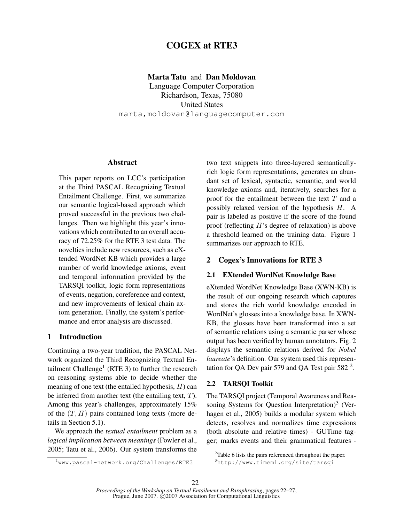# **COGEX at RTE3**

### **Marta Tatu** and **Dan Moldovan**

Language Computer Corporation Richardson, Texas, 75080 United States marta,moldovan@languagecomputer.com

# **Abstract**

This paper reports on LCC's participation at the Third PASCAL Recognizing Textual Entailment Challenge. First, we summarize our semantic logical-based approach which proved successful in the previous two challenges. Then we highlight this year's innovations which contributed to an overall accuracy of 72.25% for the RTE 3 test data. The novelties include new resources, such as eXtended WordNet KB which provides a large number of world knowledge axioms, event and temporal information provided by the TARSQI toolkit, logic form representations of events, negation, coreference and context, and new improvements of lexical chain axiom generation. Finally, the system's performance and error analysis are discussed.

#### **1 Introduction**

Continuing a two-year tradition, the PASCAL Network organized the Third Recognizing Textual Entailment Challenge<sup>1</sup> (RTE 3) to further the research on reasoning systems able to decide whether the meaning of one text (the entailed hypothesis,  $H$ ) can be inferred from another text (the entailing text,  $T$ ). Among this year's challenges, approximately 15% of the  $(T, H)$  pairs contained long texts (more details in Section 5.1).

We approach the *textual entailment* problem as a *logical implication between meanings* (Fowler et al., 2005; Tatu et al., 2006). Our system transforms the two text snippets into three-layered semanticallyrich logic form representations, generates an abundant set of lexical, syntactic, semantic, and world knowledge axioms and, iteratively, searches for a proof for the entailment between the text  $T$  and a possibly relaxed version of the hypothesis H. A pair is labeled as positive if the score of the found proof (reflecting H's degree of relaxation) is above a threshold learned on the training data. Figure 1 summarizes our approach to RTE.

## **2 Cogex's Innovations for RTE 3**

## **2.1 EXtended WordNet Knowledge Base**

eXtended WordNet Knowledge Base (XWN-KB) is the result of our ongoing research which captures and stores the rich world knowledge encoded in WordNet's glosses into a knowledge base. In XWN-KB, the glosses have been transformed into a set of semantic relations using a semantic parser whose output has been verified by human annotators. Fig. 2 displays the semantic relations derived for *Nobel laureate*'s definition. Our system used this representation for QA Dev pair 579 and QA Test pair 582 $^2$ .

## **2.2 TARSQI Toolkit**

The TARSQI project (Temporal Awareness and Reasoning Systems for Question Interpretation)<sup>3</sup> (Verhagen et al., 2005) builds a modular system which detects, resolves and normalizes time expressions (both absolute and relative times) - GUTime tagger; marks events and their grammatical features -

<sup>1</sup>www.pascal-network.org/Challenges/RTE3

<sup>&</sup>lt;sup>2</sup>Table 6 lists the pairs referenced throughout the paper. <sup>3</sup>http://www.timeml.org/site/tarsqi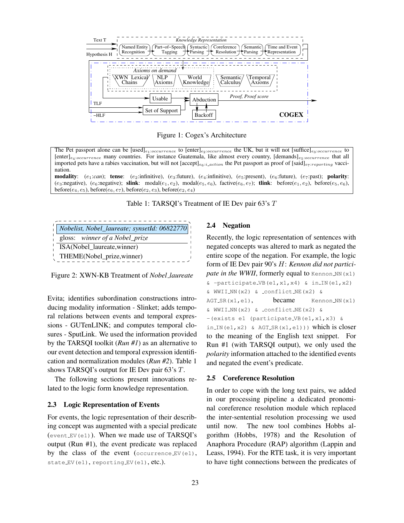

Figure 1: Cogex's Architecture

The Pet passport alone can be  $[used]_{e_1:occurrence}$  to  $[enter]_{e_2:occurrence}$  the UK, but it will not  $[suffice]_{e_3:occurrence}$  to  $[enter]_{e_4:occurrence}$  many countries. For instance Guatemala, like almost every country,  $[demands]_{e_5:occurrence}$  that all imported pets have a rabies vaccination, but will not [accept] $_{e_6:i\_action}$  the Pet passport as proof of [said] $_{e_7:reporting}$  vaccination.

**modality**: (e<sub>1</sub>:*can*); **tense**: (e<sub>2</sub>:infinitive), (e<sub>3</sub>:future), (e<sub>4</sub>:infinitive), (e<sub>5</sub>:present), (e<sub>6</sub>:future), (e<sub>7</sub>:past); **polarity**: (e<sub>3</sub>:negative), (e<sub>6</sub>:negative); **slink**: modal(e<sub>1</sub>, e<sub>2</sub>), modal(e<sub>5</sub>, e<sub>6</sub>), factive(e<sub>6</sub>, e<sub>7</sub>); **tlink**: before(e<sub>1</sub>, e<sub>2</sub>), before(e<sub>5</sub>, e<sub>6</sub>), before( $e_4, e_5$ ), before( $e_6, e_7$ ), before( $e_2, e_3$ ), before( $e_2, e_4$ )

Table 1: TARSQI's Treatment of IE Dev pair  $63's T$ 

| Nobelist, Nobel_laureate; synsetId: 06822770 |
|----------------------------------------------|
| gloss: winner of a Nobel_prize               |
| ISA(Nobel_laureate,winner)                   |
| THEME(Nobel_prize,winner)                    |

Figure 2: XWN-KB Treatment of *Nobel laureate*

Evita; identifies subordination constructions introducing modality information - Slinket; adds temporal relations between events and temporal expressions - GUTenLINK; and computes temporal closures - SputLink. We used the information provided by the TARSQI toolkit (*Run #1*) as an alternative to our event detection and temporal expression identification and normalization modules (*Run #2*). Table 1 shows TARSQI's output for IE Dev pair 63's T.

The following sections present innovations related to the logic form knowledge representation.

#### **2.3 Logic Representation of Events**

For events, the logic representation of their describing concept was augmented with a special predicate (event  $EV(el)$ ). When we made use of TARSQI's output (Run #1), the event predicate was replaced by the class of the event  $(occurrence_EV(e1))$ , state EV(e1), reporting EV(e1), etc.).

## **2.4 Negation**

Recently, the logic representation of sentences with negated concepts was altered to mark as negated the entire scope of the negation. For example, the logic form of IE Dev pair 90's H: *Kennon did not participate in the WWII*, formerly equal to Kennon NN(x1) & -participate VB(e1,x1,x4) & in IN(e1,x2) & WWII NN(x2) & conflict NE(x2) &  $AGT_SR(x1, e1),$  became Kennon NN(x1) & WWII NN(x2) & conflict NE(x2) & -(exists e1 (participate VB(e1,x1,x3) & in IN(e1, x2) & AGT SR(x1, e1))) which is closer to the meaning of the English text snippet. For Run #1 (with TARSQI output), we only used the *polarity* information attached to the identified events and negated the event's predicate.

#### **2.5 Coreference Resolution**

In order to cope with the long text pairs, we added in our processing pipeline a dedicated pronominal coreference resolution module which replaced the inter-sentential resolution processing we used until now. The new tool combines Hobbs algorithm (Hobbs, 1978) and the Resolution of Anaphora Procedure (RAP) algorithm (Lappin and Leass, 1994). For the RTE task, it is very important to have tight connections between the predicates of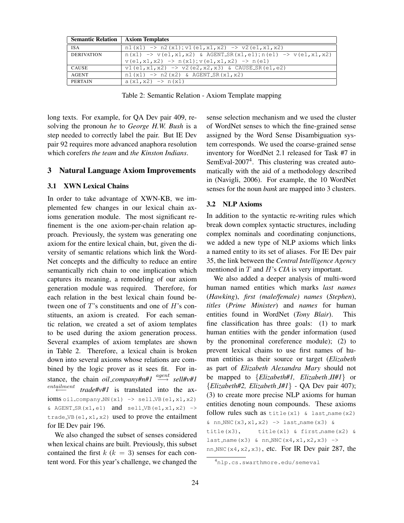| <b>Semantic Relation   Axiom Templates</b> |                                                                                        |
|--------------------------------------------|----------------------------------------------------------------------------------------|
| <b>ISA</b>                                 | $n1(x1) \rightarrow n2(x1); v1(e1, x1, x2) \rightarrow v2(e1, x1, x2)$                 |
| <b>DERIVATION</b>                          | $n(x1) \rightarrow v(e1, x1, x2)$ & AGENT_SR(x1,e1); $n(e1) \rightarrow v(e1, x1, x2)$ |
|                                            | $v(e1, x1, x2) \rightarrow n(x1); v(e1, x1, x2) \rightarrow n(e1)$                     |
| CAUSE                                      | $v1(e1, x1, x2)$ -> $v2(e2, x2, x3)$ & CAUSE_SR(e1,e2)                                 |
| AGENT                                      | $n1(x1) \rightarrow n2(x2)$ & AGENT SR(x1,x2)                                          |
| <b>PERTAIN</b>                             | $a(x1, x2) \rightarrow n(x1)$                                                          |

Table 2: Semantic Relation - Axiom Template mapping

long texts. For example, for QA Dev pair 409, resolving the pronoun *he* to *George H.W. Bush* is a step needed to correctly label the pair. But IE Dev pair 92 requires more advanced anaphora resolution which corefers *the team* and *the Kinston Indians*.

# **3 Natural Language Axiom Improvements**

# **3.1 XWN Lexical Chains**

In order to take advantage of XWN-KB, we implemented few changes in our lexical chain axioms generation module. The most significant refinement is the one axiom-per-chain relation approach. Previously, the system was generating one axiom for the entire lexical chain, but, given the diversity of semantic relations which link the Word-Net concepts and the difficulty to reduce an entire semantically rich chain to one implication which captures its meaning, a remodeling of our axiom generation module was required. Therefore, for each relation in the best lexical chain found between one of  $T$ 's constituents and one of  $H$ 's constituents, an axiom is created. For each semantic relation, we created a set of axiom templates to be used during the axiom generation process. Several examples of axiom templates are shown in Table 2. Therefore, a lexical chain is broken down into several axioms whose relations are combined by the logic prover as it sees fit. For instance, the chain *oil\_company#n#1*  $\stackrel{agent}{\longrightarrow}$  *sell#v#1* entailment trade#v#1 is translated into the ax $ioms$   $oil_{company}$   $NN(x1)$   $\rightarrow$   $sell_{VB}(e1, x1, x2)$  $\&$  AGENT SR(x1,e1) and sell VB(e1,x1,x2) -> trade VB $(e1, x1, x2)$  used to prove the entailment for IE Dev pair 196.

We also changed the subset of senses considered when lexical chains are built. Previously, this subset contained the first  $k$  ( $k = 3$ ) senses for each content word. For this year's challenge, we changed the sense selection mechanism and we used the cluster of WordNet senses to which the fine-grained sense assigned by the Word Sense Disambiguation system corresponds. We used the coarse-grained sense inventory for WordNet 2.1 released for Task #7 in SemEval-2007<sup>4</sup>. This clustering was created automatically with the aid of a methodology described in (Navigli, 2006). For example, the 10 WordNet senses for the noun *bank* are mapped into 3 clusters.

## **3.2 NLP Axioms**

In addition to the syntactic re-writing rules which break down complex syntactic structures, including complex nominals and coordinating conjunctions, we added a new type of NLP axioms which links a named entity to its set of aliases. For IE Dev pair 35, the link between the *Central Intelligence Agency* mentioned in T and H's *CIA* is very important.

We also added a deeper analysis of multi-word human named entities which marks *last names* (*Hawking*), *first (male/female) names* (*Stephen*), *titles* (*Prime Minister*) and *names* for human entities found in WordNet (*Tony Blair*). This fine classification has three goals: (1) to mark human entities with the gender information (used by the pronominal coreference module); (2) to prevent lexical chains to use first names of human entities as their source or target (*Elizabeth* as part of *Elizabeth Alexandra Mary* should not be mapped to {*Elizabeth#1, Elizabeth II#1*} or {*Elizabeth#2, Elizabeth I#1*} - QA Dev pair 407); (3) to create more precise NLP axioms for human entities denoting noun compounds. These axioms follow rules such as title $(x1)$  & last name $(x2)$  $\kappa$  nn NNC(x3, x1, x2) -> last name(x3)  $\kappa$ title(x3), title(x1) & first\_name(x2) & last name  $(x3)$  & nn NNC  $(x4, x1, x2, x3)$  -> nn NNC( $x4, x2, x3$ ), etc. For IR Dev pair 287, the

<sup>4</sup>nlp.cs.swarthmore.edu/semeval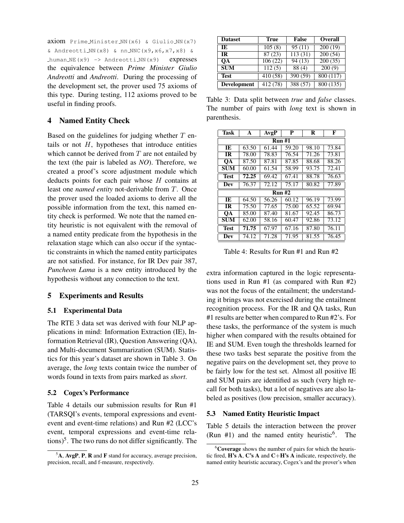axiom Prime Minister NN(x6) & Giulio NN(x7) & Andreotti\_NN(x8) & nn\_NNC(x9,x6,x7,x8) & human NE $(x9)$  -> Andreotti NN $(x9)$  expresses the equivalence between *Prime Minister Giulio Andreotti* and *Andreotti*. During the processing of the development set, the prover used 75 axioms of this type. During testing, 112 axioms proved to be useful in finding proofs.

## **4 Named Entity Check**

Based on the guidelines for judging whether  $T$  entails or not  $H$ , hypotheses that introduce entities which cannot be derived from  $T$  are not entailed by the text (the pair is labeled as *NO*). Therefore, we created a proof's score adjustment module which deducts points for each pair whose  $H$  contains at least one *named entity* not-derivable from T. Once the prover used the loaded axioms to derive all the possible information from the text, this named entity check is performed. We note that the named entity heuristic is not equivalent with the removal of a named entity predicate from the hypothesis in the relaxation stage which can also occur if the syntactic constraints in which the named entity participates are not satisfied. For instance, for IR Dev pair 387, *Puncheon Lama* is a new entity introduced by the hypothesis without any connection to the text.

# **5 Experiments and Results**

#### **5.1 Experimental Data**

The RTE 3 data set was derived with four NLP applications in mind: Information Extraction (IE), Information Retrieval (IR), Question Answering (QA), and Multi-document Summarization (SUM). Statistics for this year's dataset are shown in Table 3. On average, the *long* texts contain twice the number of words found in texts from pairs marked as *short*.

#### **5.2 Cogex's Performance**

Table 4 details our submission results for Run #1 (TARSQI's events, temporal expressions and eventevent and event-time relations) and Run #2 (LCC's event, temporal expressions and event-time relations)<sup>5</sup> . The two runs do not differ significantly. The

| <b>Dataset</b>     | True     | <b>False</b>         | <b>Overall</b> |
|--------------------|----------|----------------------|----------------|
| IE                 | 105(8)   | 95(11)               | 200(19)        |
| <b>IR</b>          | 87(23)   | 113(31)              | 200(54)        |
| OА                 | 106(22)  | 94(13)               | 200(35)        |
| <b>SUM</b>         | 112(5)   | 88 (4)               | 200(9)         |
| <b>Test</b>        | 410 (58) | 390 (59)             | 800 (117)      |
| <b>Development</b> | 412 (78) | $\overline{388}(57)$ | 800 (135)      |

Table 3: Data split between *true* and *false* classes. The number of pairs with *long* text is shown in parenthesis.

| Task        | A             | AvgP               | P     | R     | F     |
|-------------|---------------|--------------------|-------|-------|-------|
|             | Run #1        |                    |       |       |       |
| TE.         | 63.50         | 61.44              | 59.20 | 98.10 | 73.84 |
| <b>IR</b>   | 78.00         | 78.83              | 76.54 | 71.26 | 73.81 |
| OА          | 87.50         | 87.81              | 87.85 | 88.68 | 88.26 |
| <b>SUM</b>  | 60.00         | 61.54              | 58.99 | 93.75 | 72.41 |
| <b>Test</b> | 72.25         | 69.42              | 67.41 | 88.78 | 76.63 |
| Dev         | 76.37         | 72.12              | 75.17 | 80.82 | 77.89 |
|             | <b>Run #2</b> |                    |       |       |       |
| TE.         | 64.50         | $\overline{56.26}$ | 60.12 | 96.19 | 73.99 |
| <b>IR</b>   | 75.50         | 77.65              | 75.00 | 65.52 | 69.94 |
| OА          | 85.00         | 87.40              | 81.67 | 92.45 | 86.73 |
| <b>SUM</b>  | 62.00         | 58.16              | 60.47 | 92.86 | 73.12 |
| <b>Test</b> | 71.75         | 67.97              | 67.16 | 87.80 | 76.11 |
| Dev         | 74.12         | 71.28              | 71.95 | 81.55 | 76.45 |

Table 4: Results for Run #1 and Run #2

extra information captured in the logic representations used in Run #1 (as compared with Run #2) was not the focus of the entailment; the understanding it brings was not exercised during the entailment recognition process. For the IR and QA tasks, Run #1 results are better when compared to Run #2's. For these tasks, the performance of the system is much higher when compared with the results obtained for IE and SUM. Even tough the thresholds learned for these two tasks best separate the positive from the negative pairs on the development set, they prove to be fairly low for the test set. Almost all positive IE and SUM pairs are identified as such (very high recall for both tasks), but a lot of negatives are also labeled as positives (low precision, smaller accuracy).

#### **5.3 Named Entity Heuristic Impact**

Table 5 details the interaction between the prover (Run  $#1$ ) and the named entity heuristic<sup>6</sup>. . The

<sup>5</sup>**A**, **AvgP**, **P**, **R** and **F** stand for accuracy, average precision, precision, recall, and f-measure, respectively.

<sup>6</sup>**Coverage** shows the number of pairs for which the heuristic fired, **H's A**, **C's A** and **C**+**H's A** indicate, respectively, the named entity heuristic accuracy, Cogex's and the prover's when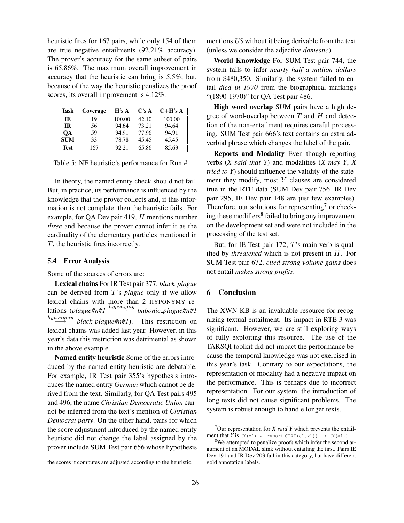heuristic fires for 167 pairs, while only 154 of them are true negative entailments (92.21% accuracy). The prover's accuracy for the same subset of pairs is 65.86%. The maximum overall improvement in accuracy that the heuristic can bring is 5.5%, but, because of the way the heuristic penalizes the proof scores, its overall improvement is 4.12%.

| Task       | Coverage | H's A  | C's A | $C+H's A$ |
|------------|----------|--------|-------|-----------|
| IE         | 19       | 100.00 | 42.10 | 100.00    |
| <b>IR</b>  | 56       | 94.64  | 73.21 | 94.64     |
| OА         | 59       | 94.91  | 77.96 | 94.91     |
| <b>SUM</b> | 33       | 78.78  | 45.45 | 45.45     |
| Test       | 167      | 92.21  | 65.86 | 85.63     |

Table 5: NE heuristic's performance for Run #1

In theory, the named entity check should not fail. But, in practice, its performance is influenced by the knowledge that the prover collects and, if this information is not complete, then the heuristic fails. For example, for QA Dev pair 419, H mentions number *three* and because the prover cannot infer it as the cardinality of the elementary particles mentioned in T, the heuristic fires incorrectly.

#### **5.4 Error Analysis**

Some of the sources of errors are:

**Lexical chains** For IR Test pair 377, *black plague* can be derived from T's *plague* only if we allow lexical chains with more than 2 HYPONYMY relations (*plague#n#1* hyponymy −→ *bubonic plague#n#1*  $hyponymy$ −→ *black plague#n#1*). This restriction on lexical chains was added last year. However, in this year's data this restriction was detrimental as shown in the above example.

**Named entity heuristic** Some of the errors introduced by the named entity heuristic are debatable. For example, IR Test pair 355's hypothesis introduces the named entity *German* which cannot be derived from the text. Similarly, for QA Test pairs 495 and 496, the name *Christian Democratic Union* cannot be inferred from the text's mention of *Christian Democrat party*. On the other hand, pairs for which the score adjustment introduced by the named entity heuristic did not change the label assigned by the prover include SUM Test pair 656 whose hypothesis

mentions *US* without it being derivable from the text (unless we consider the adjective *domestic*).

**World Knowledge** For SUM Test pair 744, the system fails to infer *nearly half a million dollars* from \$480,350. Similarly, the system failed to entail *died in 1970* from the biographical markings "(1890-1970)" for QA Test pair 486.

**High word overlap** SUM pairs have a high degree of word-overlap between  $T$  and  $H$  and detection of the non-entailment requires careful processing. SUM Test pair 666's text contains an extra adverbial phrase which changes the label of the pair.

**Reports and Modality** Even though reporting verbs (*X said that Y*) and modalities (*X may Y*, *X tried to Y*) should influence the validity of the statement they modify, most Y clauses are considered true in the RTE data (SUM Dev pair 756, IR Dev pair 295, IE Dev pair 148 are just few examples). Therefore, our solutions for representing<sup>7</sup> or checking these modifiers<sup>8</sup> failed to bring any improvement on the development set and were not included in the processing of the test set.

But, for IE Test pair 172, T's main verb is qualified by *threatened* which is not present in H. For SUM Test pair 672, *cited strong volume gains* does not entail *makes strong profits*.

# **6 Conclusion**

The XWN-KB is an invaluable resource for recognizing textual entailment. Its impact in RTE 3 was significant. However, we are still exploring ways of fully exploiting this resource. The use of the TARSQI toolkit did not impact the performance because the temporal knowledge was not exercised in this year's task. Contrary to our expectations, the representation of modality had a negative impact on the performance. This is perhaps due to incorrect representation. For our system, the introduction of long texts did not cause significant problems. The system is robust enough to handle longer texts.

the scores it computes are adjusted according to the heuristic.

<sup>7</sup>Our representation for *X said Y* which prevents the entailment that  $Y$  is  $(X(x1) \& \text{report } \text{CTXT}(\text{cl},x1)) \rightarrow (Y(\text{el}))$ 

<sup>&</sup>lt;sup>8</sup>We attempted to penalize proofs which infer the second argument of an MODAL slink without entailing the first. Pairs IE Dev 191 and IR Dev 203 fall in this category, but have different gold annotation labels.